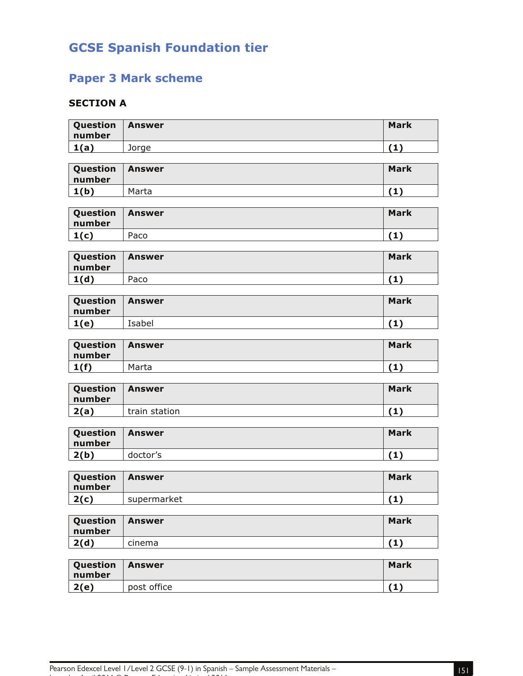# **GCSE Spanish Foundation tier**

## **Paper 3 Mark scheme**

#### **SECTION A**

| Question<br>number | <b>Answer</b> | <b>Mark</b> |
|--------------------|---------------|-------------|
| 1(a)               | Jorge         | (1)         |
|                    |               |             |
| Question<br>number | <b>Answer</b> | <b>Mark</b> |
| 1(b)               | Marta         | (1)         |
|                    |               |             |
| Question<br>number | <b>Answer</b> | <b>Mark</b> |
| 1(c)               | Paco          | (1)         |
|                    |               |             |
| Question<br>number | <b>Answer</b> | <b>Mark</b> |
| 1(d)               | Paco          | (1)         |
|                    |               |             |
| Question<br>number | <b>Answer</b> | <b>Mark</b> |
| 1(e)               | Isabel        | (1)         |
|                    |               |             |
| Question<br>number | <b>Answer</b> | <b>Mark</b> |
| 1(f)               | Marta         | (1)         |
|                    |               |             |
| Question<br>number | <b>Answer</b> | <b>Mark</b> |
| 2(a)               | train station | (1)         |
|                    |               |             |
| Question<br>number | <b>Answer</b> | <b>Mark</b> |
| 2(b)               | doctor's      | (1)         |
|                    |               |             |
| Question<br>number | <b>Answer</b> | <b>Mark</b> |
| 2(c)               | supermarket   | (1)         |
|                    |               |             |
| Question<br>number | <b>Answer</b> | <b>Mark</b> |
| 2(d)               | cinema        | (1)         |
|                    |               |             |
| Question<br>number | <b>Answer</b> | <b>Mark</b> |
| 2(e)               | post office   | (1)         |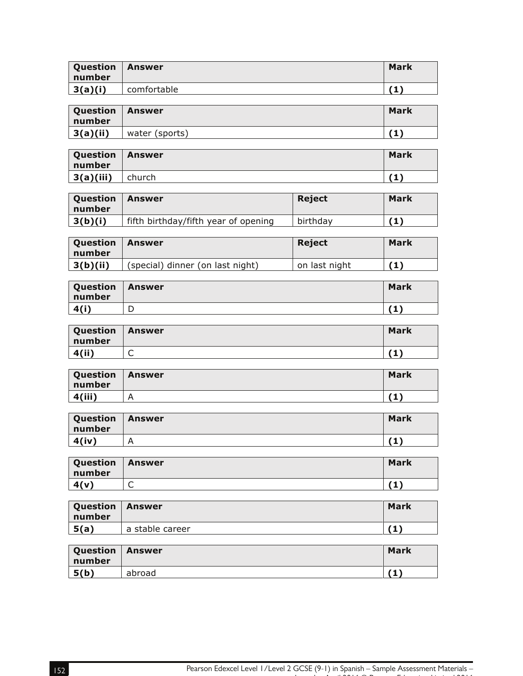| Question<br>∣ number | <b>Answer</b> | Mark |
|----------------------|---------------|------|
| 3(a)(i)              | comfortable   |      |

| Question   Answer<br>l number |                | Mark |
|-------------------------------|----------------|------|
| 3(a)(ii)                      | water (sports) |      |

| Question<br>l number | Answer | Mark |
|----------------------|--------|------|
| 3(a)(iii)            | church | 74 Y |

| Question<br>number | Answer                               | <b>Reject</b> | Mark |
|--------------------|--------------------------------------|---------------|------|
| 3(b)(i)            | fifth birthday/fifth year of opening | birthdav      |      |

| Question<br>  number | <b>Answer</b>                    | <b>Reject</b> | <b>Mark</b> |
|----------------------|----------------------------------|---------------|-------------|
| 3(b)(ii)             | (special) dinner (on last night) | on last night | (1)         |

| Question<br>number | Answer | <b>Mark</b> |
|--------------------|--------|-------------|
| 4(i)               | ◡      | . .         |

| Question<br>number | Answer | <b>Mark</b> |
|--------------------|--------|-------------|
| <b>4(ii</b>        | ∽<br>◡ |             |

| Question<br>  number | <b>Answer</b> | <b>Mark</b> |
|----------------------|---------------|-------------|
| 4(iii)               | r             |             |

| Question<br>∣ number | <b>Answer</b> | <b>Mark</b> |
|----------------------|---------------|-------------|
| 4(iv)                | Δ<br>n        | 7 4 N       |

| Question<br>number | <b>Answer</b> | <b>Mark</b> |
|--------------------|---------------|-------------|
| 4(v)               | ∽<br>֊        | 41 Y        |

| Question   Answer<br>  number |                 | <b>Mark</b> |
|-------------------------------|-----------------|-------------|
| 5(a)                          | a stable career |             |

| Question   Answer<br>  number |        | Mark |
|-------------------------------|--------|------|
| 5(b)                          | abroad |      |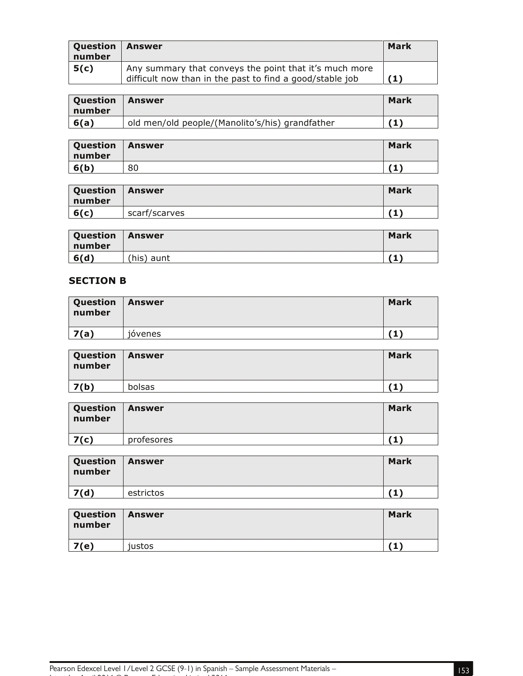| <b>Question</b><br>number | Answer                                                                                                             | Mark |
|---------------------------|--------------------------------------------------------------------------------------------------------------------|------|
| 5(c)                      | Any summary that conveys the point that it's much more<br>difficult now than in the past to find a good/stable job |      |

| <b>Question</b><br>number | Answer                                          | Mark |
|---------------------------|-------------------------------------------------|------|
| 6(a)                      | old men/old people/(Manolito's/his) grandfather |      |

| Question<br>number | Answer | <b>Mark</b>  |
|--------------------|--------|--------------|
| 6(b)               | 80     | $\mathbf{1}$ |

| <b>Question</b><br>number | l Answer      | <b>Mark</b> |
|---------------------------|---------------|-------------|
| 6(c)                      | scarf/scarves | 7 A N       |

| <b>Question</b><br>l number | <b>Answer</b> | <b>Mark</b> |
|-----------------------------|---------------|-------------|
| 6(d)                        | (his) aunt    |             |

#### **SECTION B**

| Question<br>number | Answer                     | Mark |
|--------------------|----------------------------|------|
| 7(a)               | $\cdot$ $\cdot$<br>jóvenes |      |

| Question   Answer<br>number |               | <b>Mark</b> |
|-----------------------------|---------------|-------------|
| 7(b)                        | <b>bolsas</b> |             |

| <b>Question</b><br>number | <b>Answer</b> | <b>Mark</b> |
|---------------------------|---------------|-------------|
| 7(c)                      | profesores    |             |

| Question<br>number | Answer    | <b>Mark</b> |
|--------------------|-----------|-------------|
| 7(d)               | estrictos |             |

| Question   Answer<br>number |        | <b>Mark</b> |
|-----------------------------|--------|-------------|
| 7(e)                        | justos |             |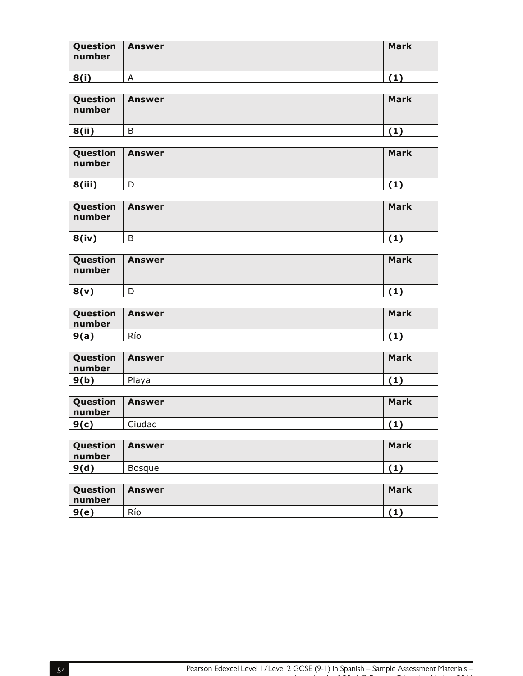| Question   Answer<br>number |   | <b>Mark</b> |
|-----------------------------|---|-------------|
| 8(i)                        | 宀 |             |

| Question   Answer<br>number |   | <b>Mark</b>  |
|-----------------------------|---|--------------|
| 8(ii)                       | В | $\mathbf{1}$ |

| Question   Answer<br>number | <b>Mark</b> |
|-----------------------------|-------------|
| 8(iii)                      |             |

| Question<br>number | Answer | <b>Mark</b> |
|--------------------|--------|-------------|
| 8(iv)              | Β      |             |

| <b>Question   Answer</b><br>number |   | <b>Mark</b> |
|------------------------------------|---|-------------|
| 8(v)                               | D |             |

| Question<br>number | <b>Answer</b> | <b>Mark</b> |
|--------------------|---------------|-------------|
| 9(a)               | Río           |             |

| <b>Question</b><br>number | <b>Answer</b> | <b>Mark</b> |
|---------------------------|---------------|-------------|
| 9(b)                      | Playa         |             |

| Question<br>number | Answer | <b>Mark</b> |
|--------------------|--------|-------------|
| 9(c)               | Ciudad |             |

| Question<br>  number | Answer | <b>Mark</b> |
|----------------------|--------|-------------|
| 9(d)                 | Bosaue |             |

| Question<br>l number | <b>Answer</b> | <b>Mark</b> |
|----------------------|---------------|-------------|
| 9(e)                 | Río           |             |